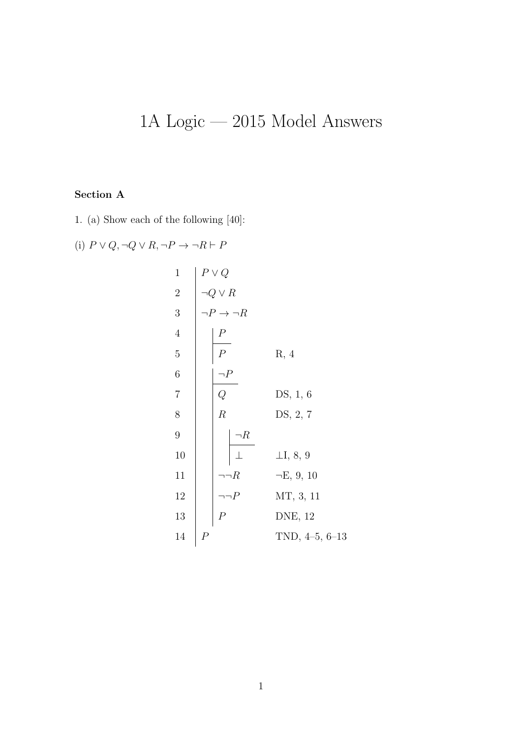## 1A Logic — 2015 Model Answers

## Section A

1. (a) Show each of the following [40]:

(i) 
$$
P \lor Q, \neg Q \lor R, \neg P \rightarrow \neg R \vdash P
$$

1  
\n
$$
\begin{array}{c|c}\n1 & P \lor Q \\
2 & \neg Q \lor R \\
3 & P \to \neg R \\
4 & P \\
5 & P \\
7 & R, 4\n\end{array}
$$
\n6  
\n8  
\n8  
\n9  
\n10  
\n11  
\n12  
\n13  
\n14  
\n15  
\n16  
\n17  
\n18  
\n19  
\n10  
\n11  
\n12  
\n13  
\n14  
\n15  
\n16  
\n17  
\n18  
\n19  
\n10  
\n11  
\n12  
\n13  
\n14  
\n15  
\n16  
\n17  
\n18  
\n19  
\n10  
\n11  
\n12  
\n13  
\n14  
\n15  
\n16  
\n17  
\n18, 10  
\n19  
\n10  
\n11  
\n12  
\n13  
\n14  
\n15  
\n16  
\n17  
\n18, 10  
\n19  
\n10  
\n11  
\n12  
\n13  
\n14  
\n15  
\n16  
\n17  
\n18, 10  
\n19  
\n10  
\n11  
\n12  
\n13  
\n14  
\n15  
\n16  
\n17  
\n18, 10  
\n19  
\n10, 4-5, 6-13  
\n11  
\n12  
\n13  
\n14  
\n15  
\n16  
\n17  
\n18, 10  
\n19  
\n10, 4-5, 6-13  
\n11  
\n12  
\n13  
\n14  
\n15  
\n16  
\n17  
\n18, 10  
\n19  
\n10  
\n11  
\n12  
\n13  
\n14  
\n15  
\n16  
\n17  
\n18, 10  
\n19  
\n10  
\n11  
\n12  
\n13  
\n14  
\n15  
\n16  
\n17  
\n18, 10  
\n19  
\n10  
\n11  
\n12  
\n13  
\n14  
\n15  
\n16  
\n17  
\n18, 10  
\n19  
\n10  
\n11  
\n12  
\n13  
\n14  
\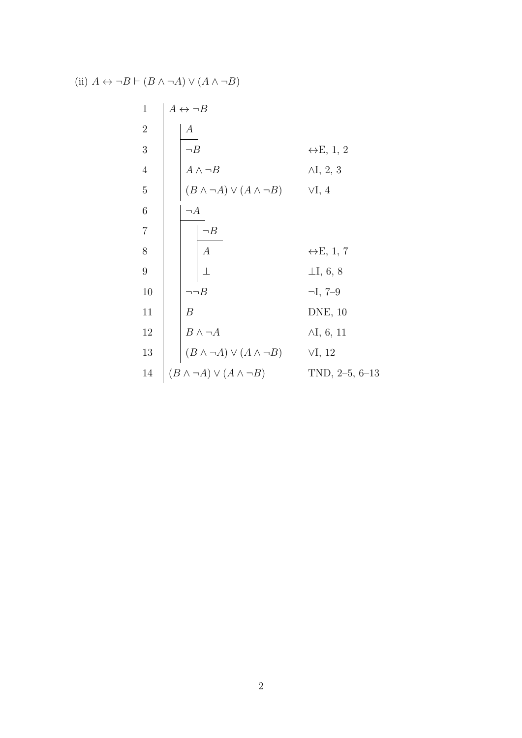(ii) 
$$
A \leftrightarrow \neg B \vdash (B \land \neg A) \lor (A \land \neg B)
$$

| $\mathbf{1}$   | $A \leftrightarrow \neg B$                 |                            |
|----------------|--------------------------------------------|----------------------------|
| $\sqrt{2}$     | $\boldsymbol{A}$                           |                            |
| 3              | $\neg B$                                   | $\leftrightarrow E$ , 1, 2 |
| $\overline{4}$ | $A \wedge \neg B$                          | $\wedge I$ , 2, 3          |
| $\bf 5$        | $(B \wedge \neg A) \vee (A \wedge \neg B)$ | $\forall I, 4$             |
| $\,$ 6 $\,$    | $\neg A$                                   |                            |
| $\overline{7}$ | $\neg B$                                   |                            |
| $8\,$          | $\boxed{A}$                                | $\leftrightarrow E$ , 1, 7 |
| $\overline{9}$ |                                            | $\perp$ I, 6, 8            |
| 10             | $\neg\neg B$                               | $\neg I, 7-9$              |
| 11             | $\boldsymbol{B}$                           | DNE, 10                    |
| 12             | $B \wedge \neg A$                          | $\wedge I, 6, 11$          |
| 13             | $(B \wedge \neg A) \vee (A \wedge \neg B)$ | VI, 12                     |
| 14             | $(B \wedge \neg A) \vee (A \wedge \neg B)$ | TND, $2-5, 6-13$           |
|                |                                            |                            |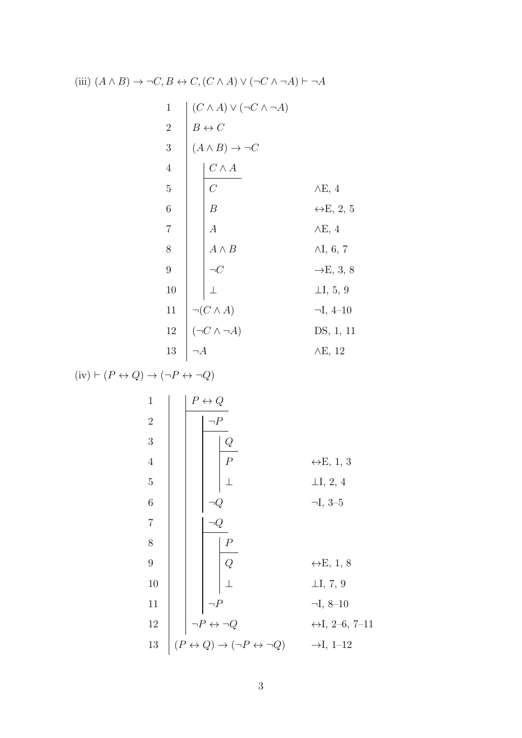(iii) 
$$
(A \land B) \rightarrow \neg C, B \leftrightarrow C, (C \land A) \lor (\neg C \land \neg A) \vdash \neg A
$$

 (C ∧ A) ∨ (¬C ∧ ¬A) B ↔ C (A ∧ B) → ¬C C ∧ A C ∧E, 4 B ↔E, 2, 5 A ∧E, 4 A ∧ B ∧I, 6, 7 ¬C →E, 3, 8 ⊥ ⊥I, 5, 9 ¬(C ∧ A) ¬I, 4–10 (¬C ∧ ¬A) DS, 1, 11 ¬A ∧E, 12

$$
(iv) \vdash (P \leftrightarrow Q) \rightarrow (\neg P \leftrightarrow \neg Q)
$$

 P ↔ Q ¬P Q P ↔E, 1, 3 ⊥ ⊥I, 2, 4 ¬Q ¬I, 3–5 ¬Q P Q ↔E, 1, 8 ⊥ ⊥I, 7, 9 ¬P ¬I, 8–10 ¬P ↔ ¬Q ↔I, 2–6, 7–11 (P ↔ Q) → (¬P ↔ ¬Q) →I, 1–12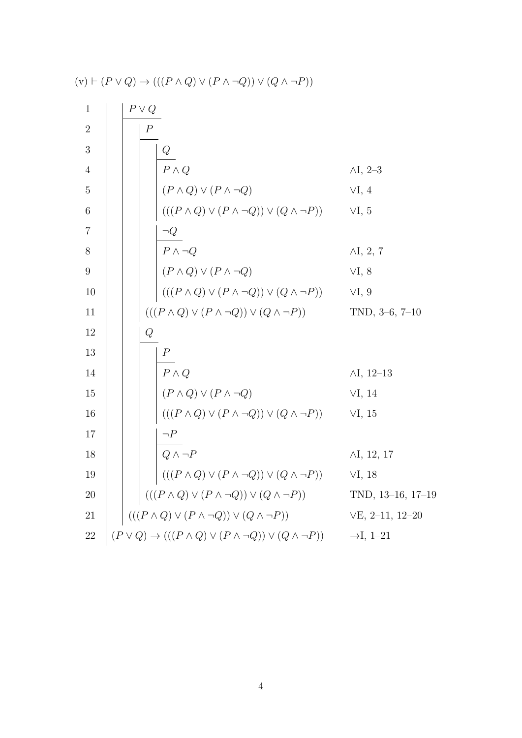1  
\n2  
\n3  
\n4  
\n4  
\n5  
\n6  
\n6  
\n8  
\n9  
\n10  
\n11  
\n12  
\n13  
\n14  
\n15  
\n16  
\n17  
\n18  
\n10  
\n11  
\n12  
\n13  
\n14  
\n15  
\n16  
\n
$$
(P \land Q) \lor (P \land \neg Q) \lor (Q \land \neg P)
$$
  
\n17  
\n18  
\n10  
\n11  
\n12  
\n $(P \land Q) \lor (P \land \neg Q) \lor (Q \land \neg P)$   
\n13  
\n14  
\n $(P \land Q) \lor (P \land \neg Q) \lor (Q \land \neg P)$   
\n15  
\n16  
\n $(P \land Q) \lor (P \land \neg Q) \lor (Q \land \neg P)$   
\n17  
\n18  
\n $(P \land Q) \lor (P \land \neg Q) \lor (Q \land \neg P)$   
\n19  
\n $(P \land Q) \lor (P \land \neg Q) \lor (Q \land \neg P)$   
\n10  
\n $(P \land Q) \lor (P \land \neg Q) \lor (Q \land \neg P)$   
\n11  
\n12  
\n $(P \land Q) \lor (P \land \neg Q) \lor (Q \land \neg P)$   
\n13  
\n $(P \land Q) \lor (P \land \neg Q) \lor (Q \land \neg P)$   
\n14  
\n $(P \land Q) \lor (P \land \neg Q) \lor (Q \land \neg P)$   
\n15  
\n16  
\n $(P \land Q) \lor (P \land \neg Q) \lor (Q \land \neg P)$   
\n17  
\n18  
\n $((P \land Q) \lor (P \land \neg Q) \lor (Q \land \neg P)$   
\n18  
\n $((P \land Q) \lor (P \land \neg Q) \lor (Q \land \neg P)$   
\n19  
\n $((P \land Q) \lor (P \land \neg Q) \lor (Q \land \neg P)$   
\n10  
\n11  
\n12  
\n $(P \lor Q) \rightarrow (((P \land Q) \lor (P \land \neg Q) \lor (Q \land \neg P))$   
\n13  
\n14  
\n1

$$
(v) \vdash (P \lor Q) \to (((P \land Q) \lor (P \land \neg Q)) \lor (Q \land \neg P))
$$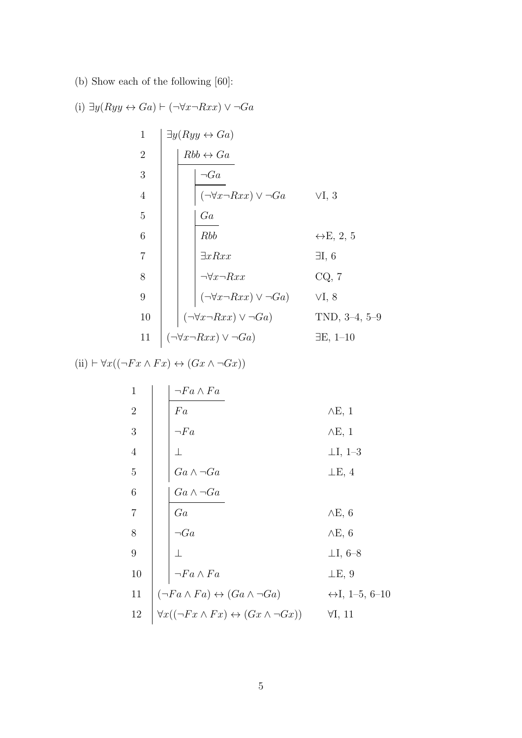(b) Show each of the following [60]:

(i) 
$$
\exists y (Ryy \leftrightarrow Ga) \vdash (\neg \forall x \neg Rxx) \lor \neg Ga
$$
  
\n1  $\begin{array}{c|c} 1 \\ \hline \exists y (Ryy \leftrightarrow Ga) \end{array}$   
\n2  $\begin{array}{c|c} 1 \\ \hline 1 \\ \hline 1 \\ \hline 1 \\ \hline 1 \\ \hline 1 \\ \hline 1 \\ \hline 1 \\ \hline 1 \\ \hline 2 \\ \hline 2 \\ \hline 3 \\ \hline 4 \\ \hline 1 \\ \hline 1 \\ \hline 2 \\ \hline 2 \\ \hline 3 \\ \hline 4 \\ \hline 1 \\ \hline 1 \\ \hline 2 \\ \hline 2 \\ \hline 3 \\ \hline 4 \\ \hline 1 \\ \hline 1 \\ \hline 2 \\ \hline 3 \\ \hline 3 \\ \hline 4 \\ \hline 1 \\ \hline 1 \\ \hline 2 \\ \hline 3 \\ \hline 3 \\ \hline 4 \\ \hline 5 \\ \hline 1 \\ \hline 2 \\ \hline 3 \\ \hline 4 \\ \hline 1 \\ \hline 2 \\ \hline 3 \\ \hline 1 \\ \hline 3 \\ \hline 4 \\ \hline 3 \\ \hline 5 \\ \hline 4 \\ \hline 7 \\ \hline 2 \\ \hline 3 \\ \hline 1 \\ \hline 4 \\ \hline 3 \\ \hline 4 \\ \hline 5 \\ \hline 7 \\ \hline 7 \\ \hline 1 \\ \hline 2 \\ \hline 1 \\ \hline 3 \\ \hline 4 \\ \hline 5 \\ \hline 7 \\ \hline 4 \\ \hline 7 \\ \hline 2 \\ \hline 2 \\ \hline 1 \\ \hline 2 \\ \hline 1 \\ \hline 2 \\ \hline 1 \\ \hline 2 \\ \hline 1 \\ \hline 2 \\ \hline 1 \\ \hline 2 \\ \hline 1 \\ \hline 2 \\ \hline 1 \\ \hline 2 \\ \hline 1 \\ \hline 2 \\ \hline 1 \\ \hline 2 \\ \hline 1 \\ \hline 2 \\ \hline 1 \\ \hline 2 \\ \hline 1 \\ \hline 2 \\ \hline 1 \\ \hline 2 \\ \hline 1 \\ \hline 2 \\ \hline 1 \\ \hline 2 \\ \hline 1 \\ \hline 2 \\ \hline 1 \\ \hline 2 \\ \hline 1 \\ \hline 2 \\ \hline 1 \\ \hline 2 \\ \hline 1 \\ \hline 2 \\ \hline 2 \\ \h$ 

(ii) 
$$
\vdash \forall x((\neg Fx \land Fx) \leftrightarrow (Gx \land \neg Gx))
$$

 ¬F a ∧ F a F a ∧E, 1 ¬F a ∧E, 1 ⊥ ⊥I, 1–3 Ga ∧ ¬Ga ⊥E, 4 Ga ∧ ¬Ga Ga ∧E, 6 ¬Ga ∧E, 6 ⊥ ⊥I, 6–8 ¬F a ∧ F a ⊥E, 9 (¬F a ∧ F a) ↔ (Ga ∧ ¬Ga) ↔I, 1–5, 6–10 ∀x((¬F x ∧ F x) ↔ (Gx ∧ ¬Gx)) ∀I, 11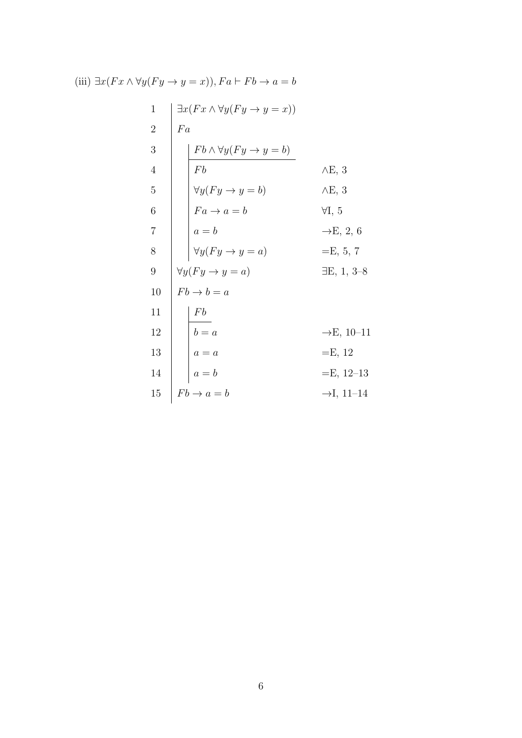1  
\n
$$
\begin{array}{c|c}\n1 & \exists x (Fx \land \forall y (Fy \rightarrow y = x)) \\
2 & Fa \\
& \text{Fb} \\
f b\n\end{array}
$$
\nA  
\n5  
\n6  
\n7  
\n8  
\n10  
\n
$$
\begin{array}{c|c}\nFb \land \forall y (Fy \rightarrow y = b) \\
Fa \rightarrow a = b \\
& \text{Fa} \rightarrow a = b \\
& \text{Fb} \\
a = b\n\end{array}
$$
\nB  
\n7  
\n8  
\n
$$
\begin{array}{c|c}\n\forall y (Fy \rightarrow y = a) \\
\forall y (Fy \rightarrow y = a) \\
& \text{Fb} \rightarrow b = a \\
& \text{Fb} \\
a = a\n\end{array}
$$
\nC  
\n9  
\n10  
\n
$$
\begin{array}{c|c}\nFb \rightarrow b = a \\
\downarrow Fb \\
a = a\n\end{array}
$$
\nD  
\n11  
\n12  
\n
$$
\begin{array}{c|c}\nFb \\
b = a \\
a = b\n\end{array}
$$
\nD  
\n13  
\n
$$
\begin{array}{c|c}\nFb \\
a = b \\
a = b\n\end{array}
$$
\nD  
\n14  
\n
$$
\begin{array}{c|c}\nFb \rightarrow a = b \\
a = b\n\end{array}
$$
\nD  
\n15  
\n
$$
\begin{array}{c|c}\nFb \rightarrow a = b \\
\hline\nFb \rightarrow a = b\n\end{array}
$$
\nD  
\n11  
\n
$$
\begin{array}{c|c}\nFb \rightarrow a = b \\
\hline\nF, 12-13 \\
\hline\nF, 11-14\n\end{array}
$$
\nE, 12-13

(iii)  $\exists x (Fx \land \forall y (Fy \to y = x)), Fa \vdash Fb \to a = b$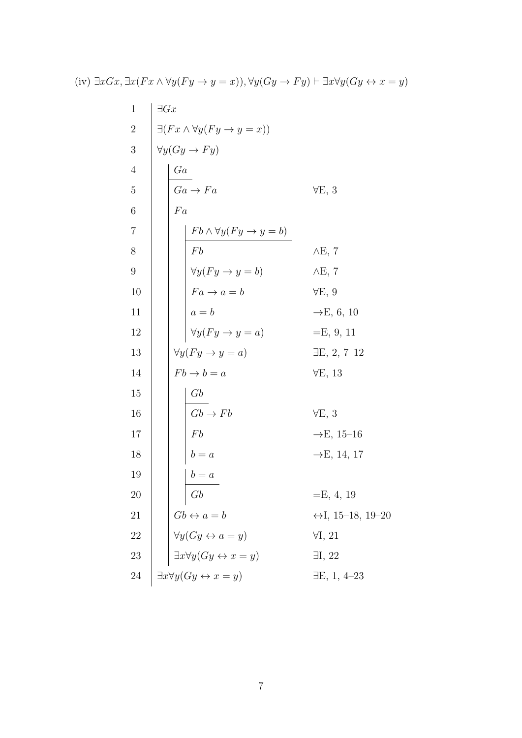| $\mathbf{1}$   | $\exists Gx$                                                                                                  |                                   |
|----------------|---------------------------------------------------------------------------------------------------------------|-----------------------------------|
| $\overline{2}$ | $\exists (Fx \land \forall y (Fy \to y = x))$                                                                 |                                   |
| $\sqrt{3}$     | $\forall y (Gy \rightarrow Fy)$                                                                               |                                   |
| $\overline{4}$ | Ga                                                                                                            |                                   |
| $\overline{5}$ | $Ga \rightarrow Fa$                                                                                           | $\forall E, 3$                    |
| 6              | Fa                                                                                                            |                                   |
| $\overline{7}$ |                                                                                                               |                                   |
| 8              | $\frac{Fb \wedge \forall y (Fy \to y = b)}{Fb}$<br>Fb                                                         | $\wedge$ E, 7                     |
| 9              |                                                                                                               | $\wedge$ E, 7                     |
| 10             | $\forall y (Fy \rightarrow y = b)$<br>$Fa \rightarrow a = b$<br>$a = b$<br>$\forall y (Fy \rightarrow y = a)$ | $\forall E, 9$                    |
| 11             |                                                                                                               | $\rightarrow$ E, 6, 10            |
| 12             |                                                                                                               | $=E, 9, 11$                       |
| 13             | $\forall y (Fy \rightarrow y = a)$                                                                            | $\exists E, 2, 7-12$              |
| 14             | $Fb \rightarrow b = a$                                                                                        | $\forall E, 13$                   |
| 15             | Gb                                                                                                            |                                   |
| 16             | $Gb \rightarrow Fb$                                                                                           | $\forall E, 3$                    |
| 17             | Fb                                                                                                            | $\rightarrow$ E, 15–16            |
| 18             | $b = a$                                                                                                       | $\rightarrow E$ , 14, 17          |
| 19             | $b = a$                                                                                                       |                                   |
| 20             | Gb                                                                                                            | $=E, 4, 19$                       |
| 21             | $Gb \leftrightarrow a = b$                                                                                    | $\leftrightarrow$ I, 15–18, 19–20 |
| 22             |                                                                                                               | $\forall I, 21$                   |
| $23\,$         | $\forall y (Gy \leftrightarrow a = y)$<br>$\exists x \forall y (Gy \leftrightarrow x = y)$                    | $\exists I, 22$                   |
| 24             | $\exists x \forall y (Gy \leftrightarrow x = y)$                                                              | $\exists E, 1, 4-23$              |
|                |                                                                                                               |                                   |

(iv)  $\exists xGx, \exists x(Fx \land \forall y(Fy \to y = x)), \forall y(Gy \to Fy) \vdash \exists x \forall y(Gy \leftrightarrow x = y)$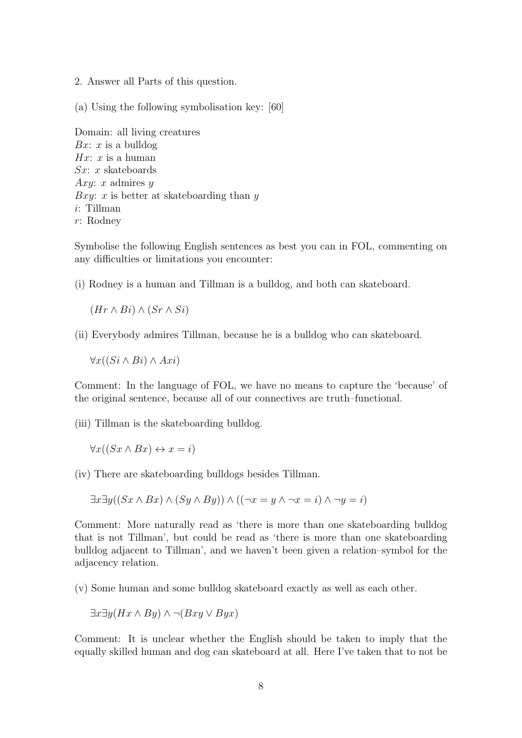2. Answer all Parts of this question.

(a) Using the following symbolisation key: [60]

Domain: all living creatures Bx: x is a bulldog  $Hx: x$  is a human  $Sx: x$  skateboards Axy: x admires  $y$ Bxy: x is better at skateboarding than  $y$ i: Tillman r: Rodney

Symbolise the following English sentences as best you can in FOL, commenting on any difficulties or limitations you encounter:

(i) Rodney is a human and Tillman is a bulldog, and both can skateboard.

 $(Hr \wedge Bi) \wedge (Sr \wedge Si)$ 

(ii) Everybody admires Tillman, because he is a bulldog who can skateboard.

 $\forall x((Si \wedge Bi) \wedge Axi)$ 

Comment: In the language of FOL, we have no means to capture the 'because' of the original sentence, because all of our connectives are truth–functional.

(iii) Tillman is the skateboarding bulldog.

 $\forall x ((Sx \land Bx) \leftrightarrow x = i)$ 

(iv) There are skateboarding bulldogs besides Tillman.

$$
\exists x \exists y ((Sx \land Bx) \land (Sy \land By)) \land ((\neg x = y \land \neg x = i) \land \neg y = i)
$$

Comment: More naturally read as 'there is more than one skateboarding bulldog that is not Tillman', but could be read as 'there is more than one skateboarding bulldog adjacent to Tillman', and we haven't been given a relation–symbol for the adjacency relation.

(v) Some human and some bulldog skateboard exactly as well as each other.

$$
\exists x \exists y (Hx \land By) \land \neg(Bxy \lor Byx)
$$

Comment: It is unclear whether the English should be taken to imply that the equally skilled human and dog can skateboard at all. Here I've taken that to not be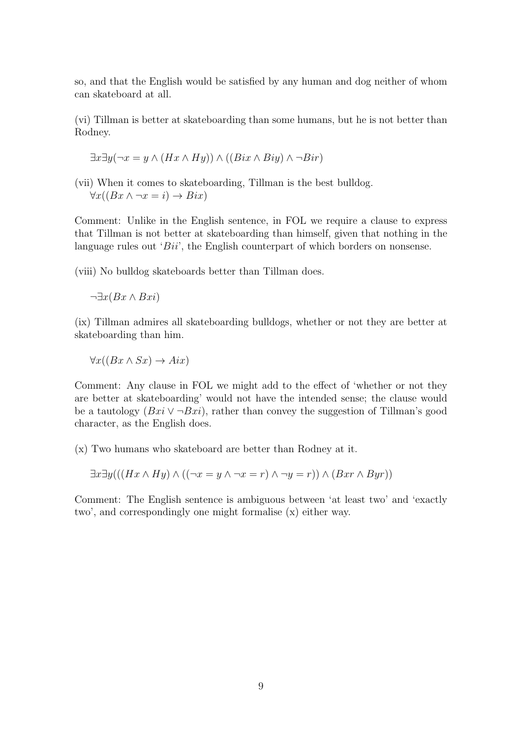so, and that the English would be satisfied by any human and dog neither of whom can skateboard at all.

(vi) Tillman is better at skateboarding than some humans, but he is not better than Rodney.

$$
\exists x \exists y (\neg x = y \land (Hx \land Hy)) \land ((Bix \land Biy) \land \neg Bir)
$$

(vii) When it comes to skateboarding, Tillman is the best bulldog.  $\forall x((Bx \land \neg x = i) \rightarrow Bix)$ 

Comment: Unlike in the English sentence, in FOL we require a clause to express that Tillman is not better at skateboarding than himself, given that nothing in the language rules out 'Bii', the English counterpart of which borders on nonsense.

(viii) No bulldog skateboards better than Tillman does.

 $\neg \exists x (Bx \wedge Bxi)$ 

(ix) Tillman admires all skateboarding bulldogs, whether or not they are better at skateboarding than him.

 $\forall x((Bx \land Sx) \rightarrow Aix)$ 

Comment: Any clause in FOL we might add to the effect of 'whether or not they are better at skateboarding' would not have the intended sense; the clause would be a tautology  $(Bxi \vee \neg Bxi)$ , rather than convey the suggestion of Tillman's good character, as the English does.

(x) Two humans who skateboard are better than Rodney at it.

$$
\exists x \exists y (((Hx \wedge Hy) \wedge ((\neg x = y \wedge \neg x = r) \wedge \neg y = r)) \wedge (Bxr \wedge Byr))
$$

Comment: The English sentence is ambiguous between 'at least two' and 'exactly two', and correspondingly one might formalise (x) either way.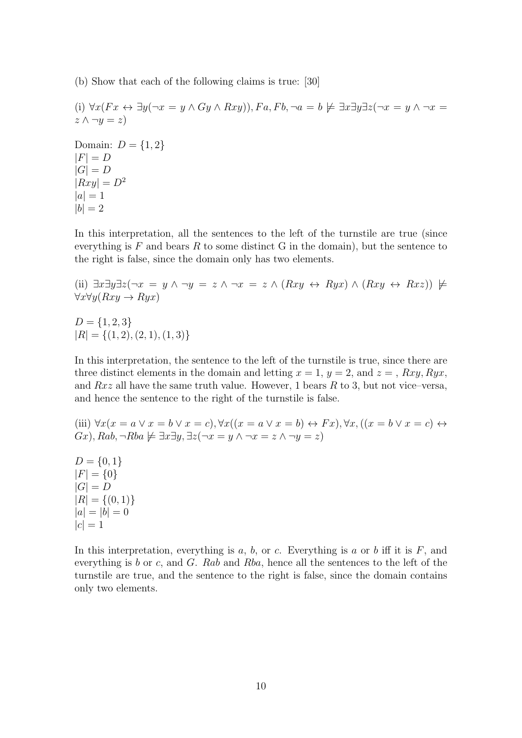(b) Show that each of the following claims is true: [30]

(i)  $\forall x (Fx \leftrightarrow \exists y (\neg x = y \land Gy \land Rxy)), Fa, Fb, \neg a = b \not\models \exists x \exists y \exists z (\neg x = y \land \neg x = b)$  $z \wedge \neg y = z$ Domain:  $D = \{1, 2\}$  $|F| = D$  $|G| = D$  $|Rxy| = D^2$  $|a|=1$  $|b| = 2$ 

In this interpretation, all the sentences to the left of the turnstile are true (since everything is  $F$  and bears  $R$  to some distinct  $G$  in the domain), but the sentence to the right is false, since the domain only has two elements.

(ii) 
$$
\exists x \exists y \exists z (\neg x = y \land \neg y = z \land \neg x = z \land (Rxy \leftrightarrow Ryx) \land (Rxy \leftrightarrow Rxz)) \not\vdash \forall x \forall y (Rxy \rightarrow Ryx)
$$

 $D = \{1, 2, 3\}$  $|R| = \{(1, 2), (2, 1), (1, 3)\}\$ 

In this interpretation, the sentence to the left of the turnstile is true, since there are three distinct elements in the domain and letting  $x = 1$ ,  $y = 2$ , and  $z = 1$ ,  $Rxy$ ,  $Ryx$ , and  $Rxz$  all have the same truth value. However, 1 bears R to 3, but not vice–versa, and hence the sentence to the right of the turnstile is false.

(iii)  $\forall x(x = a \lor x = b \lor x = c)$ ,  $\forall x((x = a \lor x = b) \leftrightarrow Fx)$ ,  $\forall x, ((x = b \lor x = c) \leftrightarrow$  $Gx$ ),  $Rab$ ,  $\neg Rba \not\models \exists x \exists y, \exists z (\neg x = y \land \neg x = z \land \neg y = z)$ 

 $D = \{0, 1\}$  $|F| = \{0\}$  $|G| = D$  $|R| = \{(0,1)\}\$  $|a| = |b| = 0$  $|c| = 1$ 

In this interpretation, everything is  $a, b,$  or c. Everything is  $a$  or  $b$  iff it is  $F$ , and everything is b or c, and  $G$ . Rab and Rba, hence all the sentences to the left of the turnstile are true, and the sentence to the right is false, since the domain contains only two elements.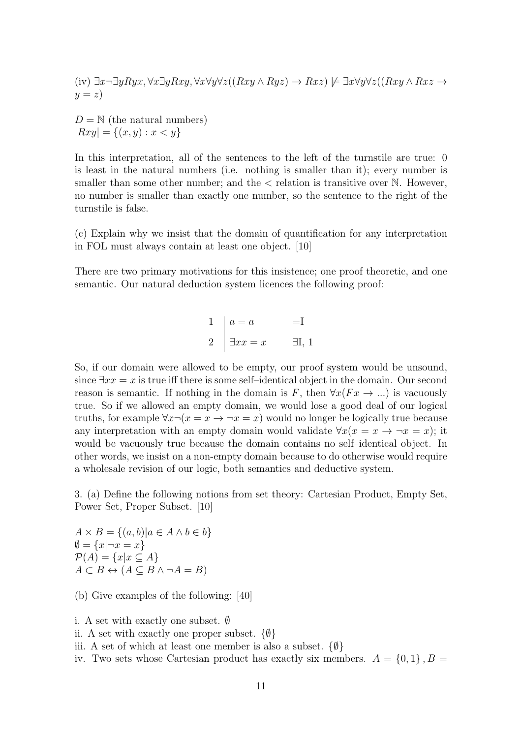(iv) 
$$
\exists x \neg \exists y Ryx, \forall x \exists y Rxy, \forall x \forall y \forall z ((Rxy \land Ryz) \rightarrow Rxz) \not\models \exists x \forall y \forall z ((Rxy \land Rxz \rightarrow y = z)
$$

 $D = N$  (the natural numbers)  $|Rxy| = \{(x, y) : x < y\}$ 

In this interpretation, all of the sentences to the left of the turnstile are true: 0 is least in the natural numbers (i.e. nothing is smaller than it); every number is smaller than some other number; and the  $\lt$  relation is transitive over N. However, no number is smaller than exactly one number, so the sentence to the right of the turnstile is false.

(c) Explain why we insist that the domain of quantification for any interpretation in FOL must always contain at least one object. [10]

There are two primary motivations for this insistence; one proof theoretic, and one semantic. Our natural deduction system licences the following proof:

> $1 \mid a = a$  = I 2  $\exists xx = x$   $\exists I, 1$

So, if our domain were allowed to be empty, our proof system would be unsound, since  $\exists xx = x$  is true iff there is some self-identical object in the domain. Our second reason is semantic. If nothing in the domain is F, then  $\forall x (Fx \rightarrow ...)$  is vacuously true. So if we allowed an empty domain, we would lose a good deal of our logical truths, for example  $\forall x \neg (x = x \rightarrow \neg x = x)$  would no longer be logically true because any interpretation with an empty domain would validate  $\forall x(x = x \rightarrow \neg x = x)$ ; it would be vacuously true because the domain contains no self–identical object. In other words, we insist on a non-empty domain because to do otherwise would require a wholesale revision of our logic, both semantics and deductive system.

3. (a) Define the following notions from set theory: Cartesian Product, Empty Set, Power Set, Proper Subset. [10]

 $A \times B = \{(a, b) | a \in A \land b \in b\}$  $\emptyset = \{x | \neg x = x\}$  $\mathcal{P}(A) = \{x | x \subseteq A\}$  $A \subset B \leftrightarrow (A \subseteq B \land \neg A = B)$ 

(b) Give examples of the following: [40]

i. A set with exactly one subset. ∅ ii. A set with exactly one proper subset.  $\{\emptyset\}$ iii. A set of which at least one member is also a subset.  $\{\emptyset\}$ iv. Two sets whose Cartesian product has exactly six members.  $A = \{0, 1\}$ ,  $B =$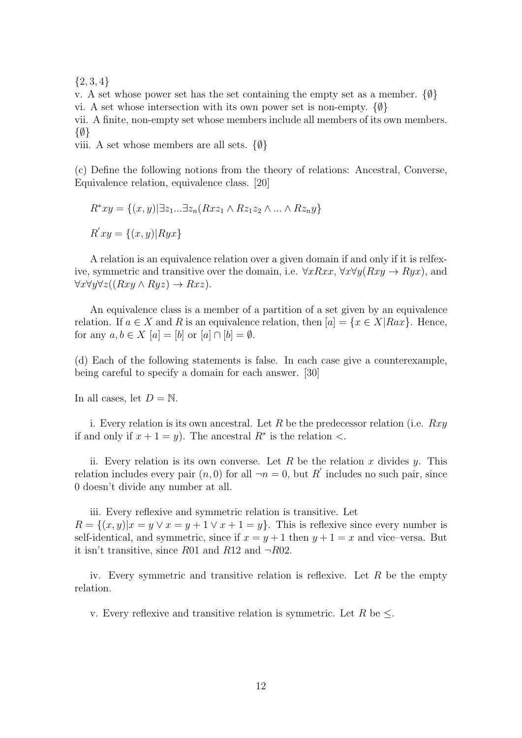${2, 3, 4}$ 

v. A set whose power set has the set containing the empty set as a member.  $\{\emptyset\}$ vi. A set whose intersection with its own power set is non-empty.  $\{\emptyset\}$ 

vii. A finite, non-empty set whose members include all members of its own members. {∅}

viii. A set whose members are all sets.  $\{\emptyset\}$ 

(c) Define the following notions from the theory of relations: Ancestral, Converse, Equivalence relation, equivalence class. [20]

$$
R^*xy = \{(x, y) | \exists z_1...\exists z_n (Rxz_1 \land Rz_1z_2 \land \dots \land Rz_ny\}
$$
  

$$
R'xy = \{(x, y) | Ryx\}
$$

A relation is an equivalence relation over a given domain if and only if it is relfexive, symmetric and transitive over the domain, i.e.  $\forall xRxx, \forall x \forall y(Rxy \rightarrow Ryx)$ , and  $\forall x \forall y \forall z ((Rxy \land Ryz) \rightarrow Rxz).$ 

An equivalence class is a member of a partition of a set given by an equivalence relation. If  $a \in X$  and R is an equivalence relation, then  $[a] = \{x \in X | Rax\}$ . Hence, for any  $a, b \in X$  [a] = [b] or [a]  $\cap$  [b] =  $\emptyset$ .

(d) Each of the following statements is false. In each case give a counterexample, being careful to specify a domain for each answer. [30]

In all cases, let  $D = N$ .

i. Every relation is its own ancestral. Let R be the predecessor relation (i.e.  $Rxy$ ) if and only if  $x + 1 = y$ . The ancestral  $R^*$  is the relation <.

ii. Every relation is its own converse. Let R be the relation x divides y. This relation includes every pair  $(n,0)$  for all  $\neg n=0$ , but R' includes no such pair, since 0 doesn't divide any number at all.

iii. Every reflexive and symmetric relation is transitive. Let  $R = \{(x, y)|x = y \lor x = y + 1 \lor x + 1 = y\}.$  This is reflexive since every number is self-identical, and symmetric, since if  $x = y + 1$  then  $y + 1 = x$  and vice–versa. But it isn't transitive, since R01 and R12 and  $\neg R02$ .

iv. Every symmetric and transitive relation is reflexive. Let  $R$  be the empty relation.

v. Every reflexive and transitive relation is symmetric. Let R be  $\leq$ .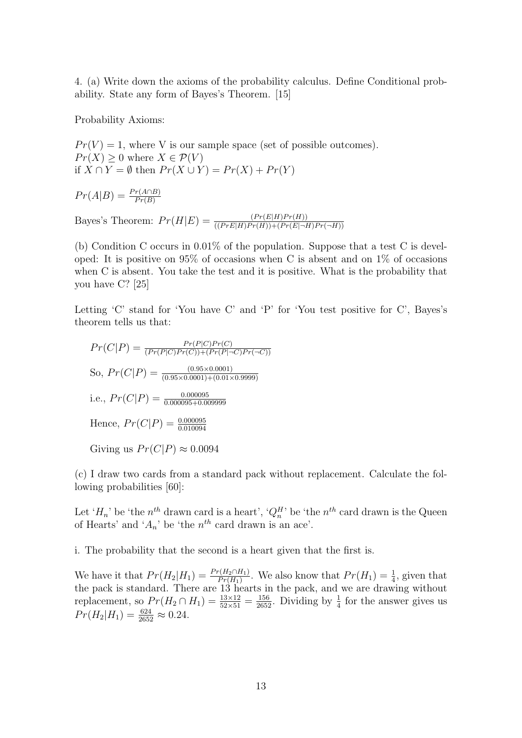4. (a) Write down the axioms of the probability calculus. Define Conditional probability. State any form of Bayes's Theorem. [15]

Probability Axioms:

 $Pr(V) = 1$ , where V is our sample space (set of possible outcomes).  $Pr(X) \geq 0$  where  $X \in \mathcal{P}(V)$ if  $X \cap Y = \emptyset$  then  $Pr(X \cup Y) = Pr(X) + Pr(Y)$ 

$$
Pr(A|B) = \frac{Pr(A \cap B)}{Pr(B)}
$$

Bayes's Theorem:  $Pr(H|E) = \frac{(Pr(E|H)Pr(H))}{((Pr E|H)Pr(H)) + (Pr(E|\neg H)Pr(\neg H))}$ 

(b) Condition C occurs in 0.01% of the population. Suppose that a test C is developed: It is positive on  $95\%$  of occasions when C is absent and on  $1\%$  of occasions when C is absent. You take the test and it is positive. What is the probability that you have C? [25]

Letting 'C' stand for 'You have C' and 'P' for 'You test positive for C', Bayes's theorem tells us that:

$$
Pr(C|P) = \frac{Pr(P|C)Pr(C)}{(Pr(P|C)Pr(C)) + (Pr(P|\neg C)Pr(\neg C))}
$$
  
So, 
$$
Pr(C|P) = \frac{(0.95 \times 0.0001)}{(0.95 \times 0.0001) + (0.01 \times 0.9999)}
$$
  
i.e., 
$$
Pr(C|P) = \frac{0.000095}{0.000095 + 0.009999}
$$
  
Hence, 
$$
Pr(C|P) = \frac{0.000095}{0.010094}
$$
  
Giving us 
$$
Pr(C|P) \approx 0.0094
$$

(c) I draw two cards from a standard pack without replacement. Calculate the following probabilities [60]:

Let ' $H_n$ ' be 'the  $n^{th}$  drawn card is a heart', ' $Q_n^H$ ' be 'the  $n^{th}$  card drawn is the Queen of Hearts' and ' $A_n$ ' be 'the  $n^{th}$  card drawn is an ace'.

i. The probability that the second is a heart given that the first is.

We have it that  $Pr(H_2|H_1) = \frac{Pr(H_2 \cap H_1)}{Pr(H_1)}$ . We also know that  $Pr(H_1) = \frac{1}{4}$ , given that the pack is standard. There are 13 hearts in the pack, and we are drawing without replacement, so  $Pr(H_2 \cap H_1) = \frac{13 \times 12}{52 \times 51} = \frac{156}{2652}$ . Dividing by  $\frac{1}{4}$  for the answer gives us  $Pr(H_2|H_1) = \frac{624}{2652} \approx 0.24.$